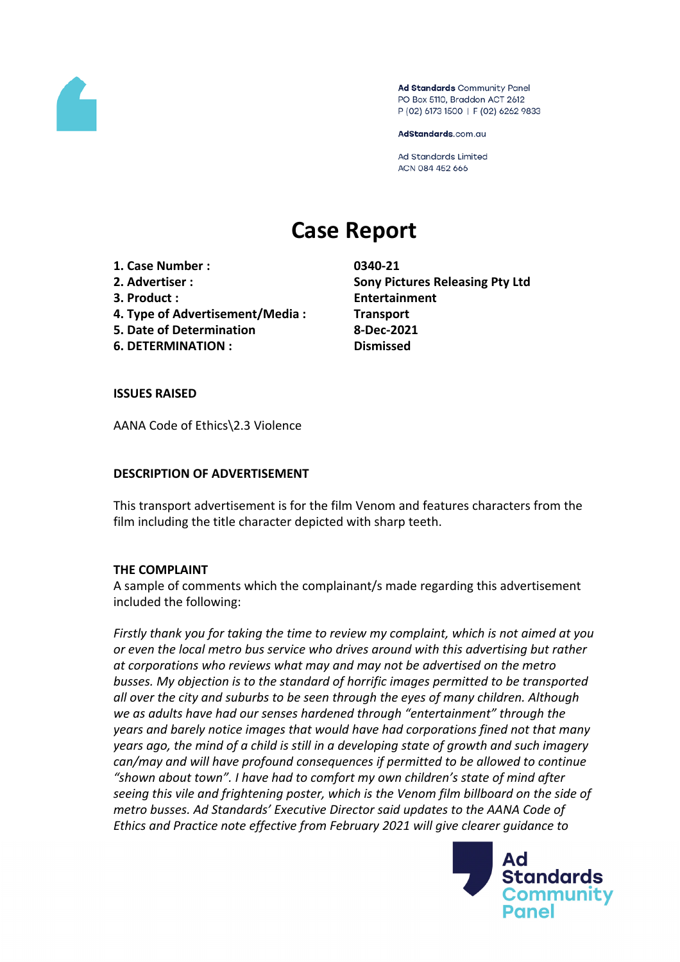

Ad Standards Community Panel PO Box 5110, Braddon ACT 2612 P (02) 6173 1500 | F (02) 6262 9833

AdStandards.com.au

**Ad Standards Limited** ACN 084 452 666

# **Case Report**

**1. Case Number : 0340-21**

- 
- 
- **4. Type of Advertisement/Media : Transport**
- **5. Date of Determination 8-Dec-2021**
- **6. DETERMINATION : Dismissed**

**2. Advertiser : Sony Pictures Releasing Pty Ltd 3. Product : Entertainment**

# **ISSUES RAISED**

AANA Code of Ethics\2.3 Violence

# **DESCRIPTION OF ADVERTISEMENT**

This transport advertisement is for the film Venom and features characters from the film including the title character depicted with sharp teeth.

# **THE COMPLAINT**

A sample of comments which the complainant/s made regarding this advertisement included the following:

*Firstly thank you for taking the time to review my complaint, which is not aimed at you or even the local metro bus service who drives around with this advertising but rather at corporations who reviews what may and may not be advertised on the metro busses. My objection is to the standard of horrific images permitted to be transported all over the city and suburbs to be seen through the eyes of many children. Although we as adults have had our senses hardened through "entertainment" through the years and barely notice images that would have had corporations fined not that many years ago, the mind of a child is still in a developing state of growth and such imagery can/may and will have profound consequences if permitted to be allowed to continue "shown about town". I have had to comfort my own children's state of mind after seeing this vile and frightening poster, which is the Venom film billboard on the side of metro busses. Ad Standards' Executive Director said updates to the AANA Code of Ethics and Practice note effective from February 2021 will give clearer guidance to*

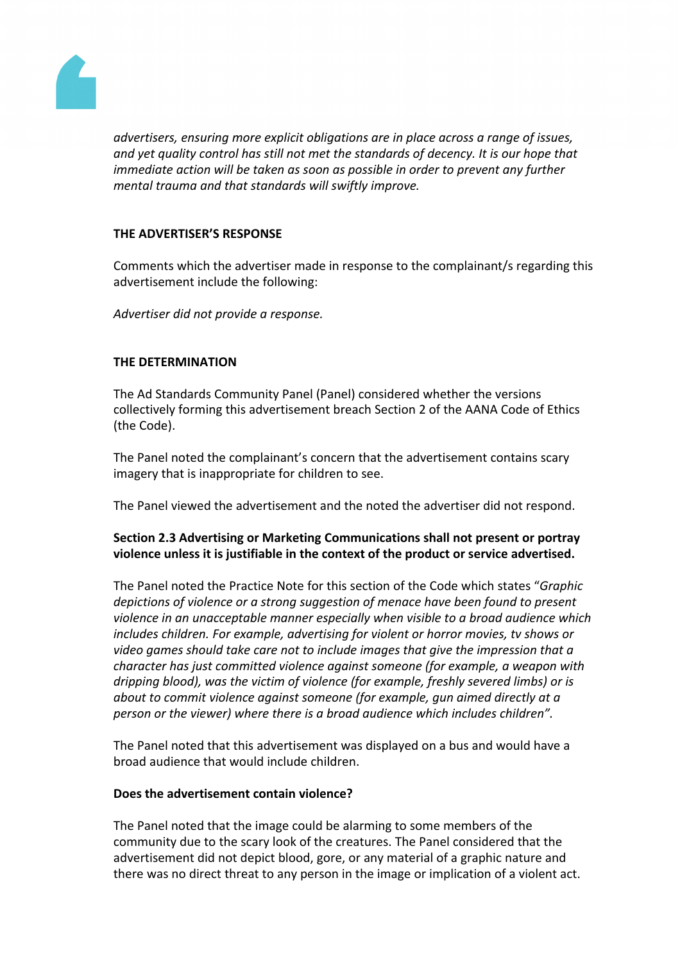

*advertisers, ensuring more explicit obligations are in place across a range of issues, and yet quality control has still not met the standards of decency. It is our hope that immediate action will be taken as soon as possible in order to prevent any further mental trauma and that standards will swiftly improve.*

# **THE ADVERTISER'S RESPONSE**

Comments which the advertiser made in response to the complainant/s regarding this advertisement include the following:

*Advertiser did not provide a response.*

#### **THE DETERMINATION**

The Ad Standards Community Panel (Panel) considered whether the versions collectively forming this advertisement breach Section 2 of the AANA Code of Ethics (the Code).

The Panel noted the complainant's concern that the advertisement contains scary imagery that is inappropriate for children to see.

The Panel viewed the advertisement and the noted the advertiser did not respond.

# **Section 2.3 Advertising or Marketing Communications shall not present or portray violence unless it is justifiable in the context of the product or service advertised.**

The Panel noted the Practice Note for this section of the Code which states "*Graphic depictions of violence or a strong suggestion of menace have been found to present violence in an unacceptable manner especially when visible to a broad audience which includes children. For example, advertising for violent or horror movies, tv shows or video games should take care not to include images that give the impression that a character has just committed violence against someone (for example, a weapon with dripping blood), was the victim of violence (for example, freshly severed limbs) or is about to commit violence against someone (for example, gun aimed directly at a person or the viewer) where there is a broad audience which includes children".*

The Panel noted that this advertisement was displayed on a bus and would have a broad audience that would include children.

#### **Does the advertisement contain violence?**

The Panel noted that the image could be alarming to some members of the community due to the scary look of the creatures. The Panel considered that the advertisement did not depict blood, gore, or any material of a graphic nature and there was no direct threat to any person in the image or implication of a violent act.